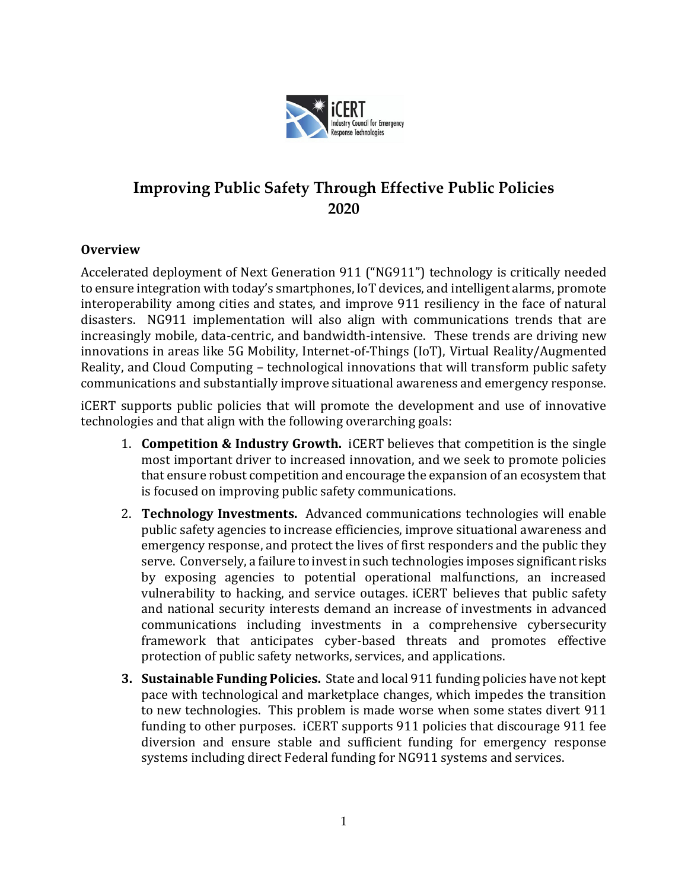

## **Improving Public Safety Through Effective Public Policies 2020**

## **Overview**

Accelerated deployment of Next Generation 911 ("NG911") technology is critically needed to ensure integration with today's smartphones, IoT devices, and intelligent alarms, promote interoperability among cities and states, and improve 911 resiliency in the face of natural disasters. NG911 implementation will also align with communications trends that are increasingly mobile, data-centric, and bandwidth-intensive. These trends are driving new innovations in areas like 5G Mobility, Internet-of-Things (IoT), Virtual Reality/Augmented Reality, and Cloud Computing – technological innovations that will transform public safety communications and substantially improve situational awareness and emergency response.

iCERT supports public policies that will promote the development and use of innovative technologies and that align with the following overarching goals:

- 1. **Competition & Industry Growth.** iCERT believes that competition is the single most important driver to increased innovation, and we seek to promote policies that ensure robust competition and encourage the expansion of an ecosystem that is focused on improving public safety communications.
- 2. **Technology Investments.** Advanced communications technologies will enable public safety agencies to increase efficiencies, improve situational awareness and emergency response, and protect the lives of first responders and the public they serve. Conversely, a failure to invest in such technologies imposes significant risks by exposing agencies to potential operational malfunctions, an increased vulnerability to hacking, and service outages. iCERT believes that public safety and national security interests demand an increase of investments in advanced communications including investments in a comprehensive cybersecurity framework that anticipates cyber-based threats and promotes effective protection of public safety networks, services, and applications.
- **3. Sustainable Funding Policies.** State and local 911 funding policies have not kept pace with technological and marketplace changes, which impedes the transition to new technologies. This problem is made worse when some states divert 911 funding to other purposes. iCERT supports 911 policies that discourage 911 fee diversion and ensure stable and sufficient funding for emergency response systems including direct Federal funding for NG911 systems and services.